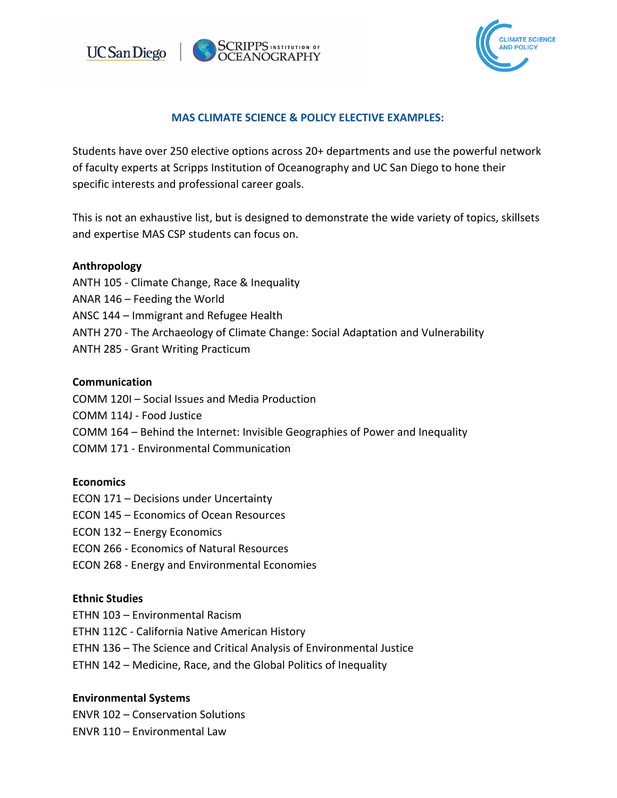



# **MAS CLIMATE SCIENCE & POLICY ELECTIVE EXAMPLES:**

Students have over 250 elective options across 20+ departments and use the powerful network of faculty experts at Scripps Institution of Oceanography and UC San Diego to hone their specific interests and professional career goals.

This is not an exhaustive list, but is designed to demonstrate the wide variety of topics, skillsets and expertise MAS CSP students can focus on.

### **Anthropology**

- ANTH 105 Climate Change, Race & Inequality
- ANAR 146 Feeding the World
- ANSC 144 Immigrant and Refugee Health
- ANTH 270 The Archaeology of Climate Change: Social Adaptation and Vulnerability
- ANTH 285 Grant Writing Practicum

### **Communication**

- COMM 120I Social Issues and Media Production
- COMM 114J Food Justice
- COMM 164 Behind the Internet: Invisible Geographies of Power and Inequality
- COMM 171 Environmental Communication

### **Economics**

- ECON 171 Decisions under Uncertainty
- ECON 145 Economics of Ocean Resources
- ECON 132 Energy Economics
- ECON 266 Economics of Natural Resources
- ECON 268 Energy and Environmental Economies

### **Ethnic Studies**

- ETHN 103 Environmental Racism
- ETHN 112C California Native American History
- ETHN 136 The Science and Critical Analysis of Environmental Justice
- ETHN 142 Medicine, Race, and the Global Politics of Inequality

### **Environmental Systems**

ENVR 102 – Conservation Solutions

ENVR 110 – Environmental Law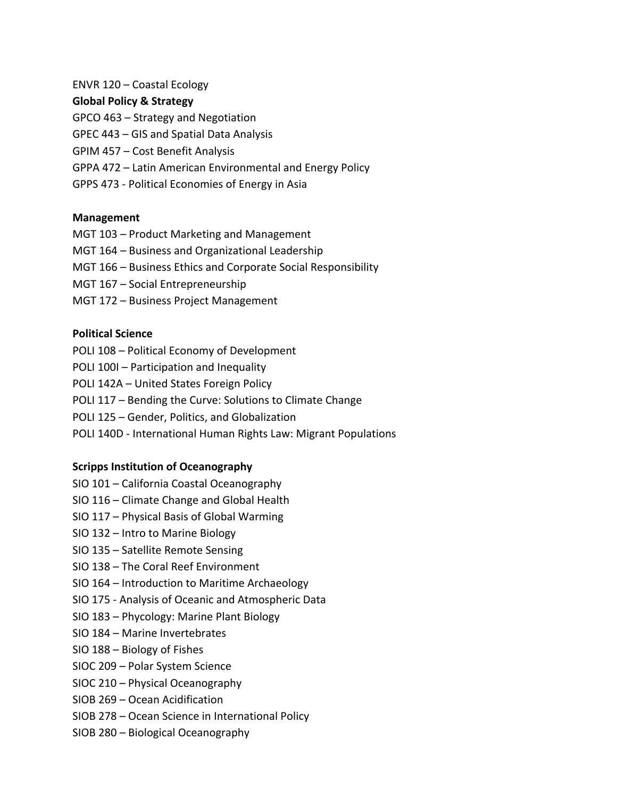### ENVR 120 – Coastal Ecology

### **Global Policy & Strategy**

- GPCO 463 Strategy and Negotiation
- GPEC 443 GIS and Spatial Data Analysis
- GPIM 457 Cost Benefit Analysis
- GPPA 472 Latin American Environmental and Energy Policy
- GPPS 473 Political Economies of Energy in Asia

### **Management**

- MGT 103 Product Marketing and Management
- MGT 164 Business and Organizational Leadership
- MGT 166 Business Ethics and Corporate Social Responsibility
- MGT 167 Social Entrepreneurship
- MGT 172 Business Project Management

### **Political Science**

- POLI 108 Political Economy of Development
- POLI 100I Participation and Inequality
- POLI 142A United States Foreign Policy
- POLI 117 Bending the Curve: Solutions to Climate Change
- POLI 125 Gender, Politics, and Globalization
- POLI 140D International Human Rights Law: Migrant Populations

# **Scripps Institution of Oceanography**

- SIO 101 California Coastal Oceanography
- SIO 116 Climate Change and Global Health
- SIO 117 Physical Basis of Global Warming
- SIO 132 Intro to Marine Biology
- SIO 135 Satellite Remote Sensing
- SIO 138 The Coral Reef Environment
- SIO 164 Introduction to Maritime Archaeology
- SIO 175 Analysis of Oceanic and Atmospheric Data
- SIO 183 Phycology: Marine Plant Biology
- SIO 184 Marine Invertebrates
- SIO 188 Biology of Fishes
- SIOC 209 Polar System Science
- SIOC 210 Physical Oceanography
- SIOB 269 Ocean Acidification
- SIOB 278 Ocean Science in International Policy
- SIOB 280 Biological Oceanography